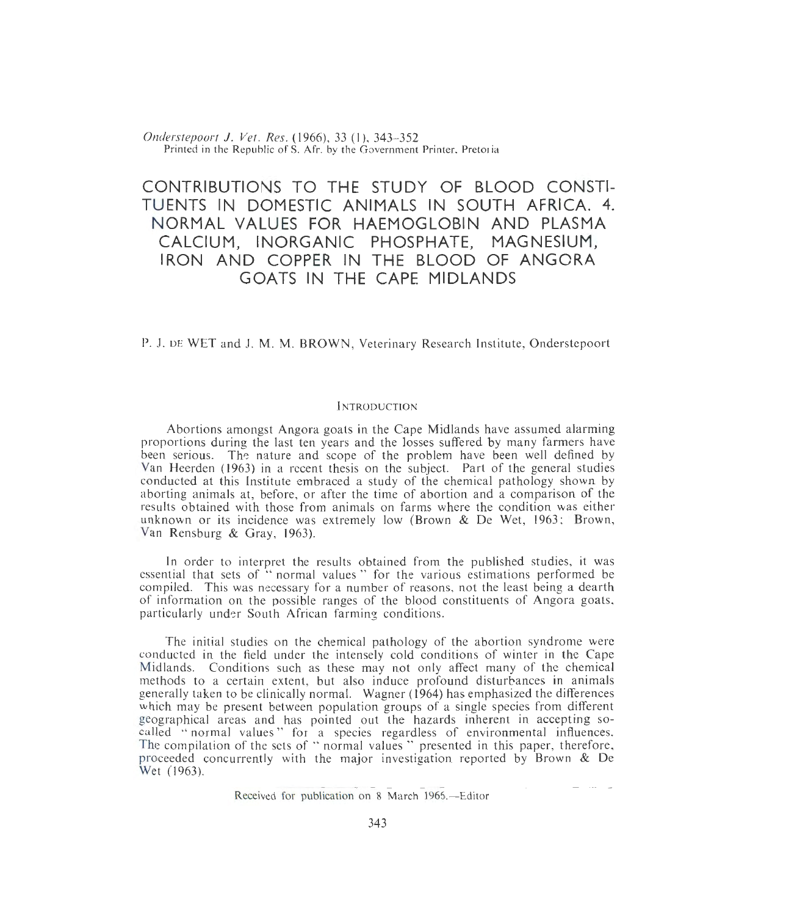*Onderstepoort* J. *Vet. Res.* {1966), 33 (I), 343- 352 Printed in the Republic of S. Afr. by the Government Printer, Pretoria

# **CONTRIBUTIONS TO THE STUDY OF BLOOD CONSTI-TUENTS IN DOMESTIC ANIMALS IN SOUTH AFRICA. 4. NORMAL VALUES FOR HAEMOGLOBIN AND PLASMA CALCIUM, INORGANIC PHOSPHATE, MAGNESIUM, IRON AND COPPER IN THE BLOOD OF ANGORA GOATS IN THE CAPE MIDLANDS**

P. J. DE WET and J. M. M. BROWN, Veterinary Research Institute, Onderstepoort

## **INTRODUCTION**

Abortions amongst Angora goats in the Cape Midlands have assumed alarming proportions during the last ten years and the losses suffered by many farmers have been serious. The nature and scope of the problem have been well defined by Van Heerden *(* 1963) in a recent thesis on the subject. Part of the general studies conducted at this Institute embraced a study of the chemical pathology shown by aborting animals at, before, or after the time of abortion and a comparison of the results obtained with those from animals on farms where the condition was either unknown or its incidence was extremely low (Brown & De Wet, 1963; Brown, Van Rensburg & Gray, 1963).

In order to interpret the results obtained from the published studies, it was essential that sets of " normal values " for the various estimations performed be compiled. This was necessary for a number of reasons. not the least being a dearth of information on the possible ranges of the blood constituents of Angora goats, particularly under South African farming conditions.

The initial studies on the chemical pathology of the abortion syndrome were conducted in the field under the intensely cold conditions of winter in the Cape Midlands. Conditions such as these may not only affect many of the chemical methods to a certain extent, but also induce profound disturbances in animals generally taken to be clinically normal. Wagner ( 1964) has emphasized the differences which may be present between population groups of a single species from different geographical areas and has pointed out the hazards inherent in accepting socalled "normal values" for a species regardless of environmental influences. The compilation of the sets of " normal values " presented in this paper, therefore, proceeded concurrently with the major investigation reported by Brown & De Wet (1963).

Received for publication on 8 March 1965.—Editor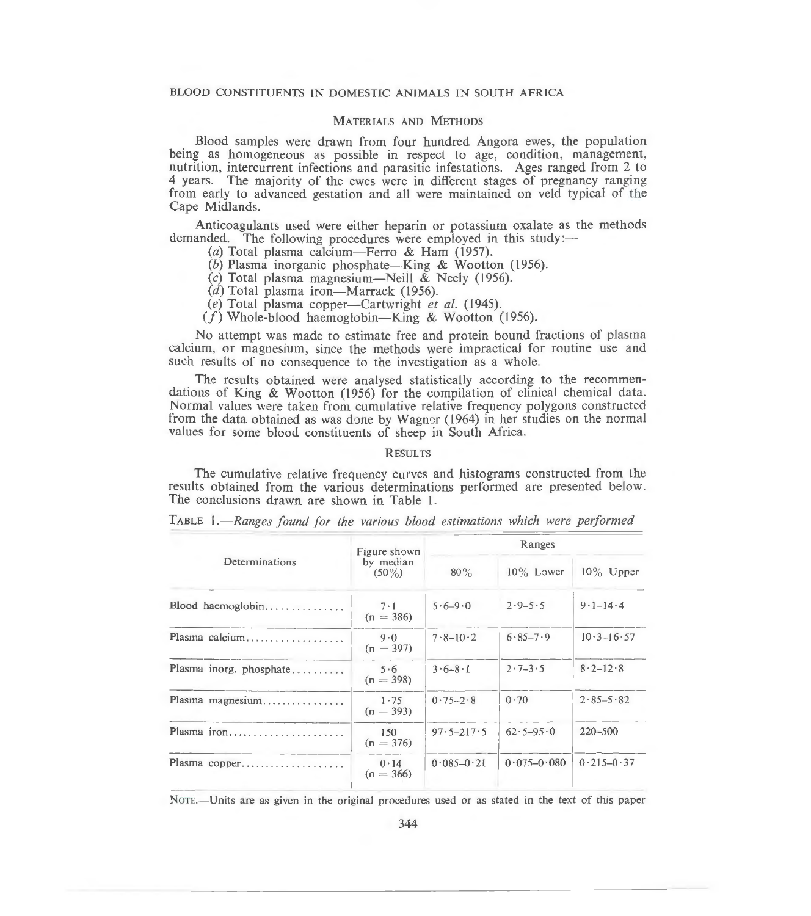## BLOOD CONSTITUENTS IN DOMESTIC ANIMALS IN SOUTH AFRICA

#### MATERIALS AND METHODS

Blood samples were drawn from four hundred Angora ewes, the population being as homogeneous as possible in respect to age, condition, management, nutrition, intercurrent infections and parasitic infestations. Ages ranged from 2 to 4 years. The majority of the ewes were in different stages of pregnancy ranging from early to advanced gestation and all were maintained on veld typical of the Cape Midlands.

Anticoagulants used were either heparin or potassium oxalate as the methods demanded. The following procedures were employed in this study:—

- (a) Total plasma calcium— Ferro & Ham (1957).
- (b) Plasma inorganic phosphate—King & Wootton (1956).
- (c) Total plasma magnesium-Neil! & Neely (1956).
- $(d)$  Total plasma iron-Marrack (1956).
- *(e)* Total plasma copper-Cartwright *et a/.* ( 1945).
- $(f)$  Whole-blood haemoglobin-King & Wootton (1956).

No attempt was made to estimate free and protein bound fractions of plasma calcium, or magnesium, since the methods were impractical for routine use and such results of no consequence to the investigation as a whole.

The results obtained were analysed statistically according to the recommendations of King & Wootton (1956) for the compilation of clinical chemical data. Normal values were taken from cumulative relative frequency polygons constructed from the data obtained as was done by Wagner (1964) in her studies on the normal values for some blood constituents of sheep in South Africa.

#### **RESULTS**

The cumulative relative frequency curves and histograms constructed from the results obtained from the various determinations performed are presented below. The conclusions drawn are shown in Table 1.

| Determinations          | Figure shown<br>by median<br>$(50\%)$ | Ranges         |                 |                |
|-------------------------|---------------------------------------|----------------|-----------------|----------------|
|                         |                                       | $80\%$         | $10\%$ Lower    | $10\%$ Upper   |
| Blood haemoglobin       | $7 \cdot 1$<br>$(n = 386)$            | $5.6 - 9.0$    | $2.9 - 5.5$     | $9.1 - 14.4$   |
| Plasma calcium          | 9.0<br>$(n = 397)$                    | $7.8 - 10.2$   | $6.85 - 7.9$    | $10.3 - 16.57$ |
| Plasma inorg. phosphate | 5.6<br>$(n = 398)$                    | $3.6 - 8.1$    | $2.7 - 3.5$     | $8.2 - 12.8$   |
| Plasma magnesium        | $1 - 75$<br>$(n = 393)$               | $0.75 - 2.8$   | 0.70            | $2.85 - 5.82$  |
| Plasma iron             | 150<br>$(n = 376)$                    | $97.5 - 217.5$ | $62.5 - 95.0$   | $220 - 500$    |
| Plasma copper           | 0.14<br>$(n = 366)$                   | $0.085 - 0.21$ | $0.075 - 0.080$ | $0.215 - 0.37$ |

TABLE 1.-Ranges found for the various blood estimations which were performed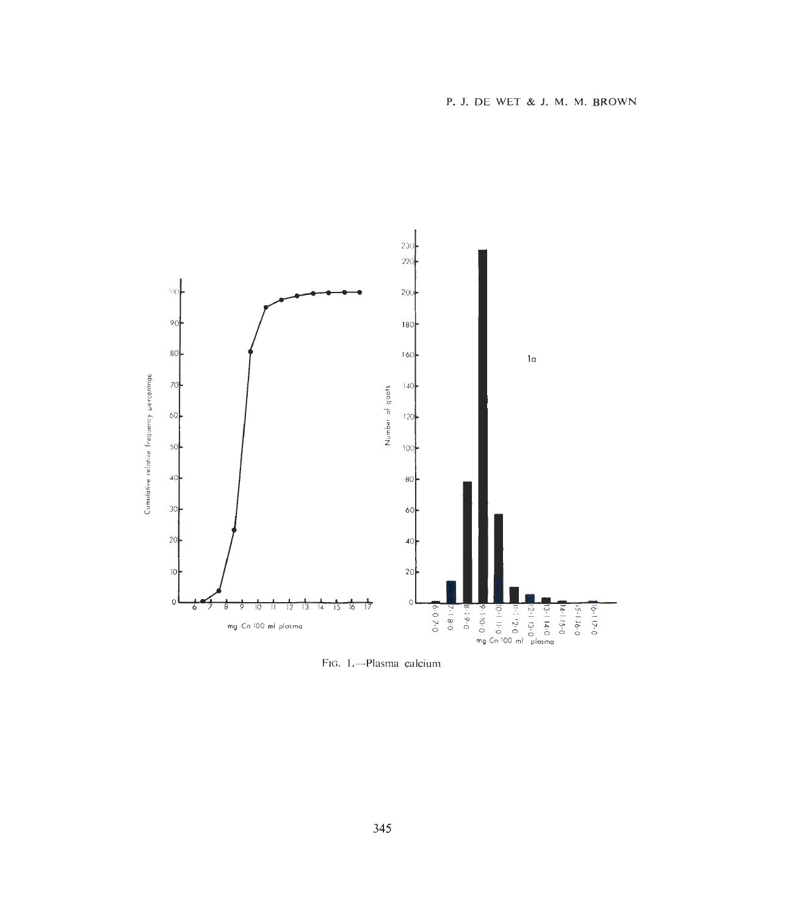

FIG. 1.-Plasma calcium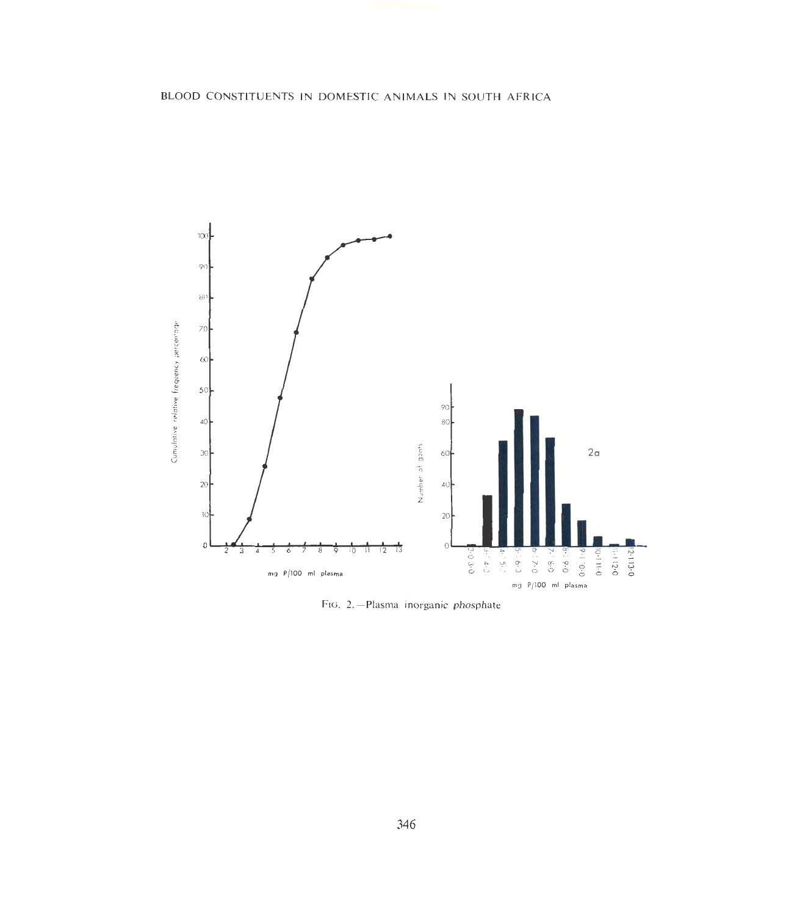

FtG. 2.-Plasma inorganic phosphate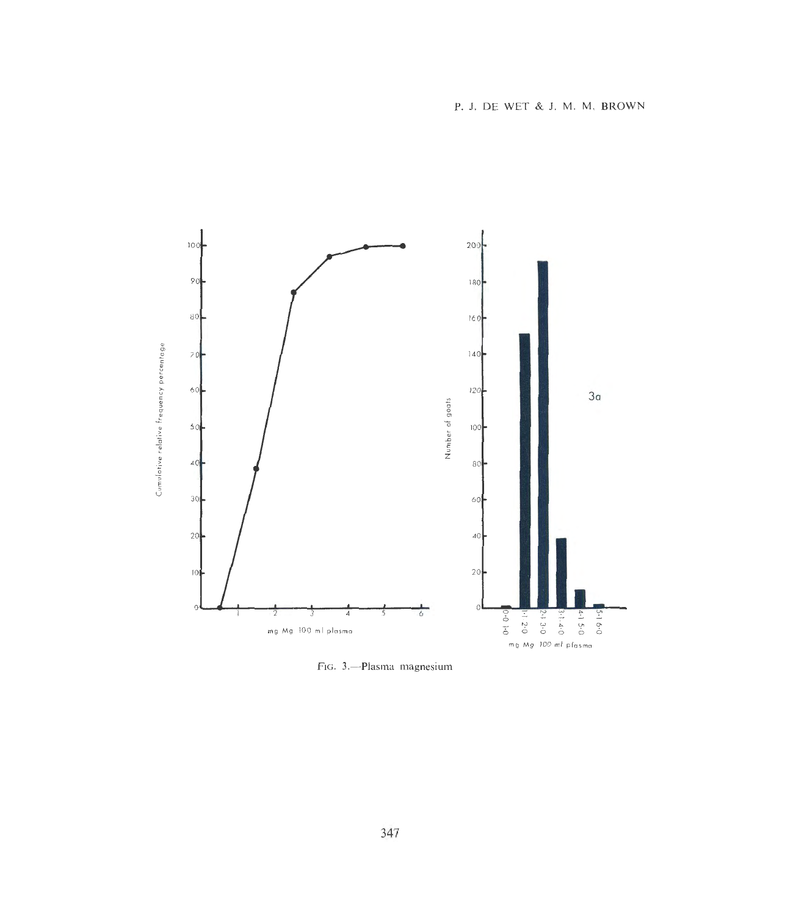

FIG. 3.-Plasma magnesium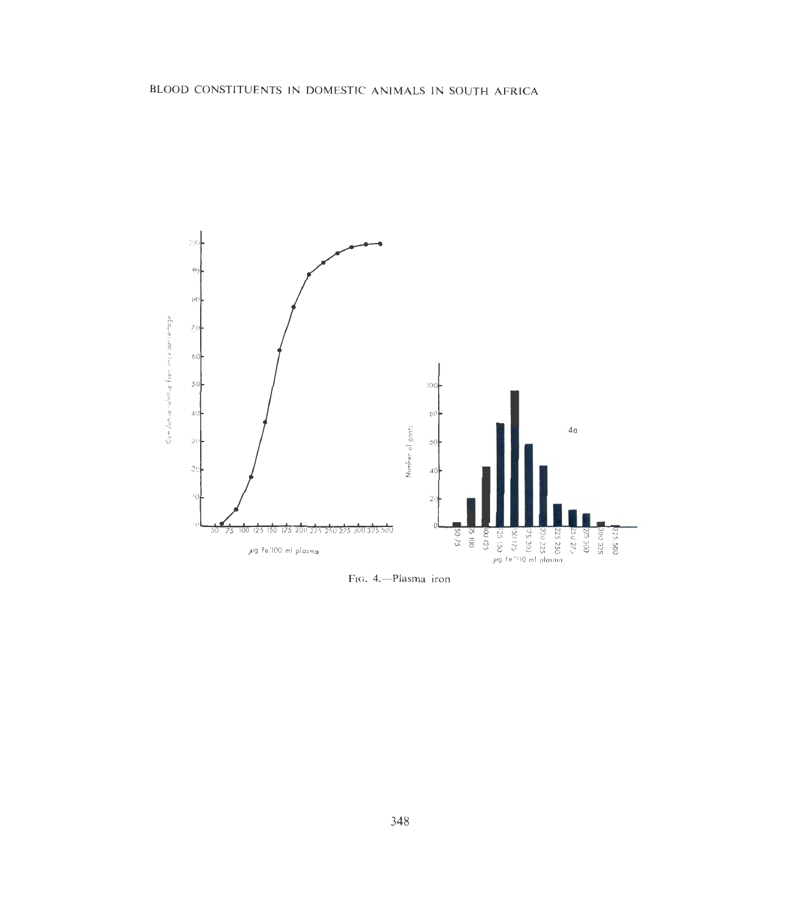

FIG. 4.-Plasma iron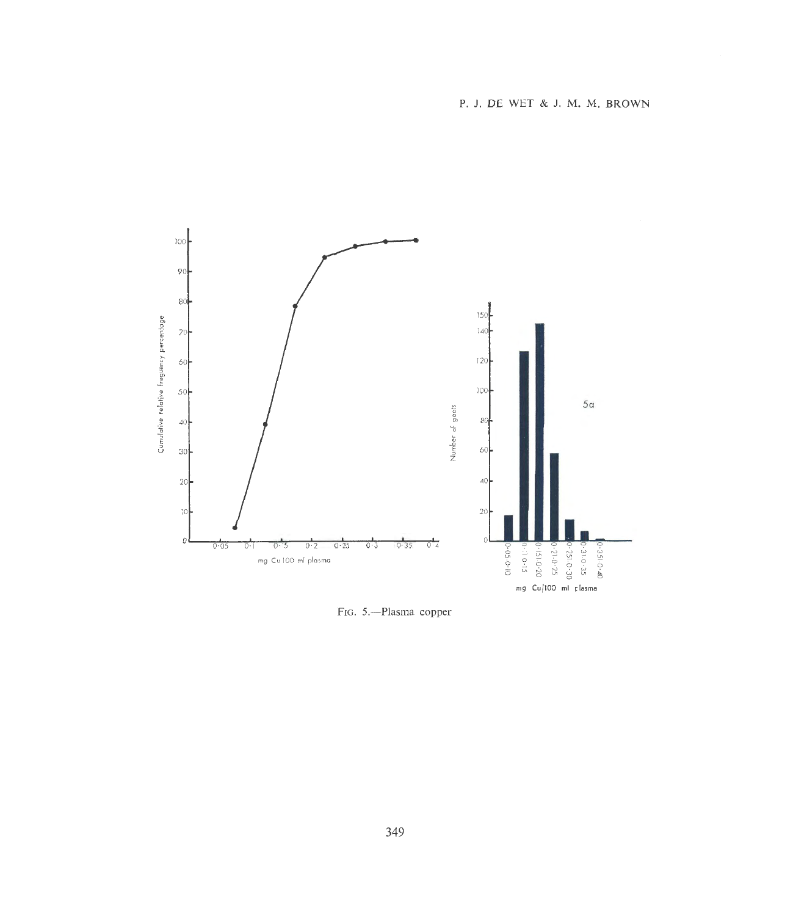

FIG. 5.-Plasma copper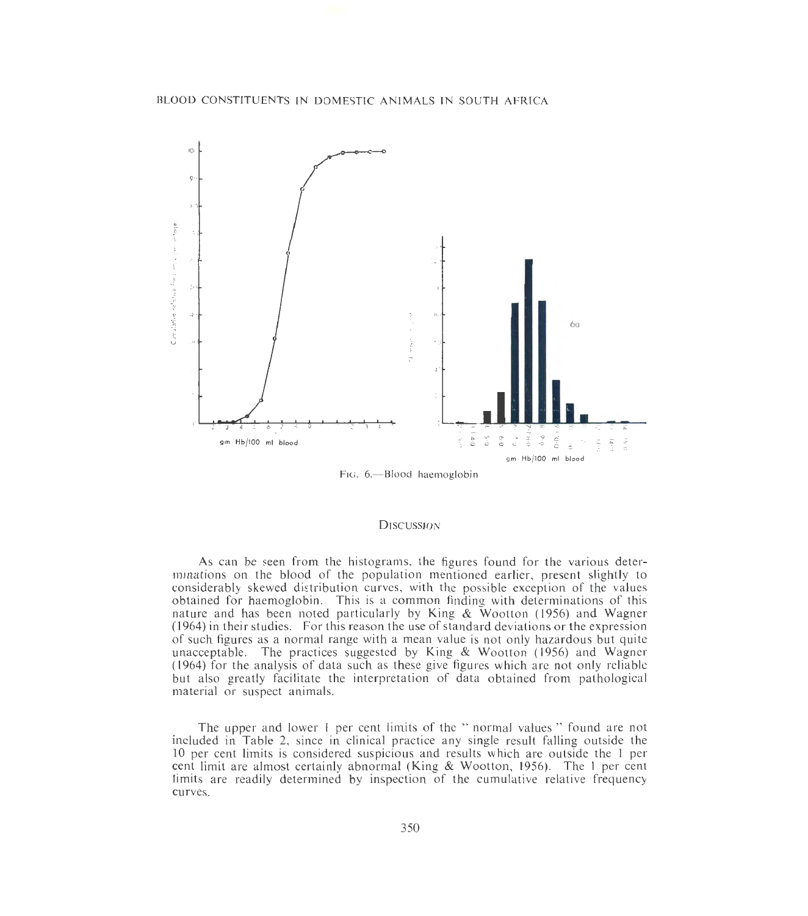

FIG. 6.-Blood haemoglobin

## **DISCUSSION**

As can be seen from the histograms, the figures found for the various determinations on the blood of the population mentioned earlier, present slightly to considerably skewed distribution curves, with the possible exception of the values obtained for haemoglobin. This is a common finding with determinations of this nature and has been noted particularly by King & Wootton (1956) and Wagner (1964) in their studies. For this reason the use of standard deviations or the expression of such figures as a normal range with a mean value is not only hazardous but quite unacceptable. The practices suggested by King & Wootton (1956) and Wagner (1964) for the analysis of data such as these give figures which are not only reliable but also greatly facilitate the interpretation of data obtained from pathological material or suspect animals.

The upper and lower I per cent limits of the "normal values" found are not included in Table 2, since in clinical practice any single result falling outside the 10 per cent limits is considered suspicious and results which are outside the 1 per cent limit are almost certainly abnormal (King & Wootton, 1956). The 1 per cent limits are readily determined by inspection of the cumulative relative frequency curves.